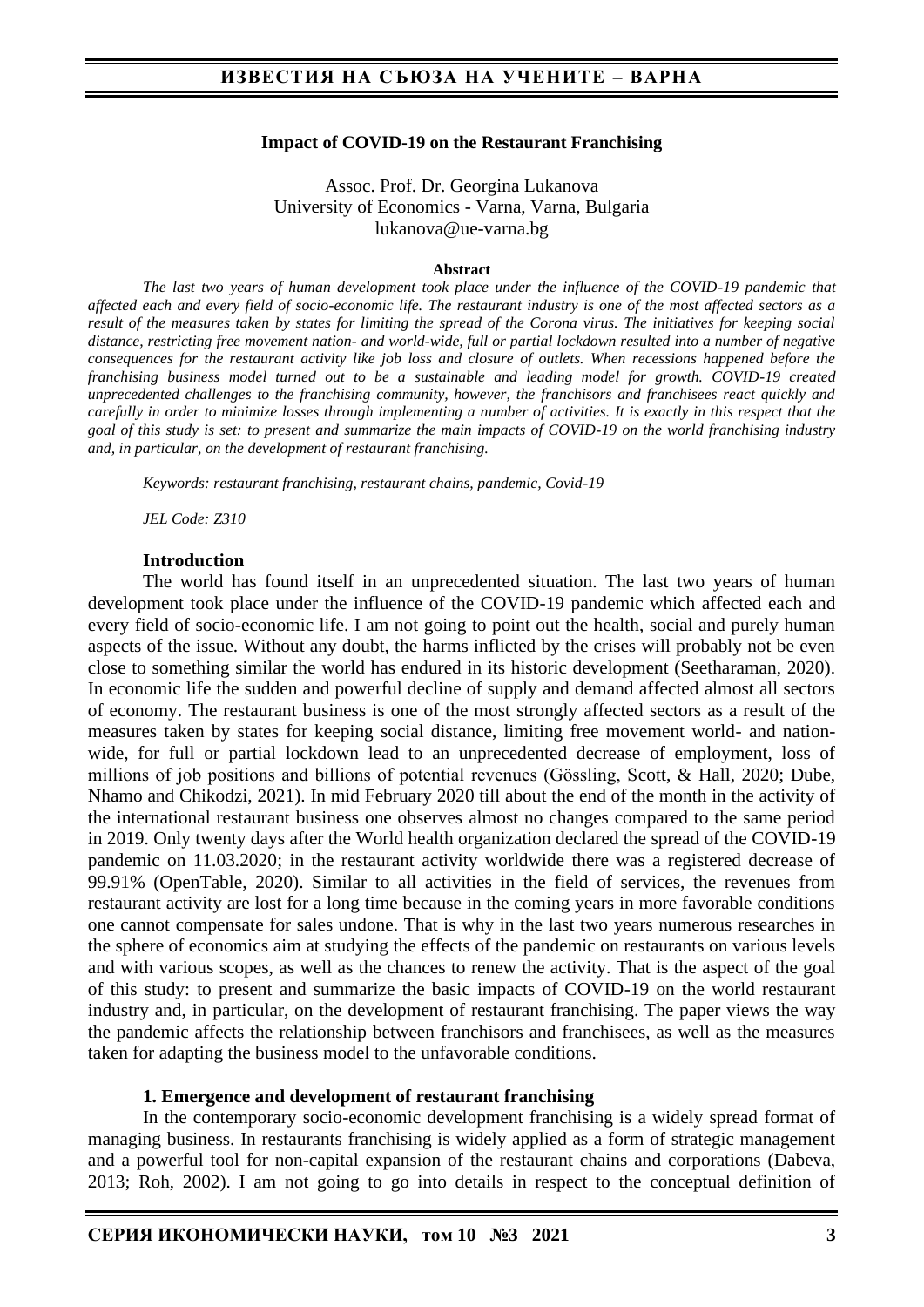#### **Impact of COVID-19 on the Restaurant Franchising**

Assoc. Prof. Dr. Georgina Lukanova University of Economics - Varna, Varna, Bulgaria lukanova@ue-varna.bg

#### **Abstract**

*The last two years of human development took place under the influence of the COVID-19 pandemic that affected each and every field of socio-economic life. The restaurant industry is one of the most affected sectors as a result of the measures taken by states for limiting the spread of the Corona virus. The initiatives for keeping social distance, restricting free movement nation- and world-wide, full or partial lockdown resulted into a number of negative consequences for the restaurant activity like job loss and closure of outlets. When recessions happened before the franchising business model turned out to be a sustainable and leading model for growth. COVID-19 created unprecedented challenges to the franchising community, however, the franchisors and franchisees react quickly and carefully in order to minimize losses through implementing a number of activities. It is exactly in this respect that the goal of this study is set: to present and summarize the main impacts of COVID-19 on the world franchising industry and, in particular, on the development of restaurant franchising.*

*Keywords: restaurant franchising, restaurant chains, pandemic, Covid-19*

*JEL Code: Z310*

#### **Introduction**

The world has found itself in an unprecedented situation. The last two years of human development took place under the influence of the COVID-19 pandemic which affected each and every field of socio-economic life. I am not going to point out the health, social and purely human aspects of the issue. Without any doubt, the harms inflicted by the crises will probably not be even close to something similar the world has endured in its historic development (Seetharaman, 2020). In economic life the sudden and powerful decline of supply and demand affected almost all sectors of economy. The restaurant business is one of the most strongly affected sectors as a result of the measures taken by states for keeping social distance, limiting free movement world- and nationwide, for full or partial lockdown lead to an unprecedented decrease of employment, loss of millions of job positions and billions of potential revenues (Gössling, Scott, & Hall, 2020; Dube, Nhamo and Chikodzi, 2021). In mid February 2020 till about the end of the month in the activity of the international restaurant business one observes almost no changes compared to the same period in 2019. Only twenty days after the World health organization declared the spread of the COVID-19 pandemic on 11.03.2020; in the restaurant activity worldwide there was a registered decrease of 99.91% (OpenTable, 2020). Similar to all activities in the field of services, the revenues from restaurant activity are lost for a long time because in the coming years in more favorable conditions one cannot compensate for sales undone. That is why in the last two years numerous researches in the sphere of economics aim at studying the effects of the pandemic on restaurants on various levels and with various scopes, as well as the chances to renew the activity. That is the aspect of the goal of this study: to present and summarize the basic impacts of COVID-19 on the world restaurant industry and, in particular, on the development of restaurant franchising. The paper views the way the pandemic affects the relationship between franchisors and franchisees, as well as the measures taken for adapting the business model to the unfavorable conditions.

#### **1. Emergence and development of restaurant franchising**

In the contemporary socio-economic development franchising is a widely spread format of managing business. In restaurants franchising is widely applied as a form of strategic management and a powerful tool for non-capital expansion of the restaurant chains and corporations (Dabeva, 2013; Roh, 2002). I am not going to go into details in respect to the conceptual definition of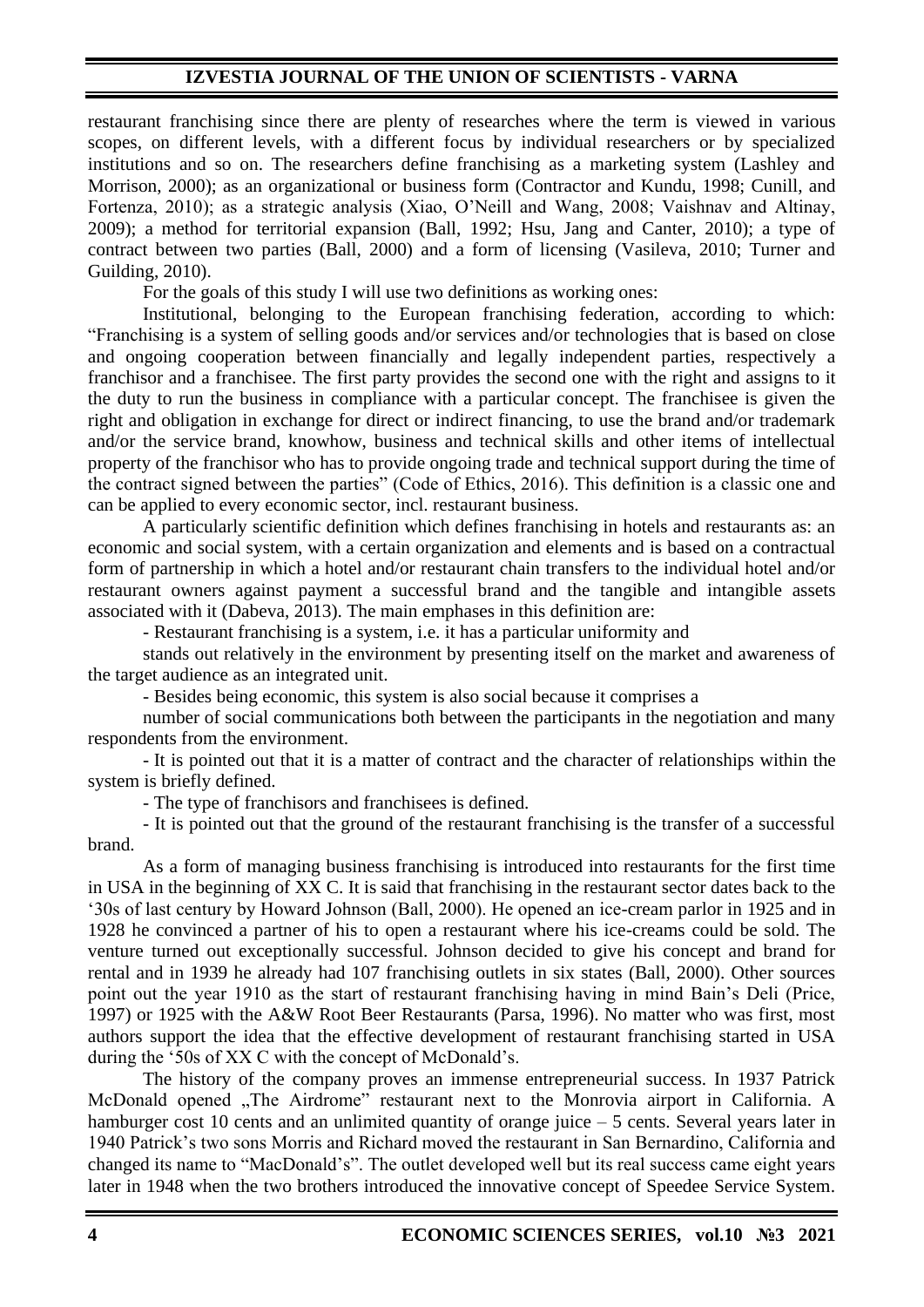restaurant franchising since there are plenty of researches where the term is viewed in various scopes, on different levels, with a different focus by individual researchers or by specialized institutions and so on. The researchers define franchising as a marketing system (Lashley and Morrison, 2000); as an organizational or business form (Contractor and Kundu, 1998; Cunill, and Fortenza, 2010); as a strategic analysis (Xiao, O'Neill and Wang, 2008; Vaishnav and Altinay, 2009); a method for territorial expansion (Ball, 1992; Hsu, Jang and Canter, 2010); a type of contract between two parties (Ball, 2000) and a form of licensing (Vasileva, 2010; Turner and Guilding, 2010).

For the goals of this study I will use two definitions as working ones:

Institutional, belonging to the European franchising federation, according to which: "Franchising is a system of selling goods and/or services and/or technologies that is based on close and ongoing cooperation between financially and legally independent parties, respectively a franchisor and a franchisee. The first party provides the second one with the right and assigns to it the duty to run the business in compliance with a particular concept. The franchisee is given the right and obligation in exchange for direct or indirect financing, to use the brand and/or trademark and/or the service brand, knowhow, business and technical skills and other items of intellectual property of the franchisor who has to provide ongoing trade and technical support during the time of the contract signed between the parties" (Code of Ethics, 2016). This definition is a classic one and can be applied to every economic sector, incl. restaurant business.

A particularly scientific definition which defines franchising in hotels and restaurants as: an economic and social system, with a certain organization and elements and is based on a contractual form of partnership in which a hotel and/or restaurant chain transfers to the individual hotel and/or restaurant owners against payment a successful brand and the tangible and intangible assets associated with it (Dabeva, 2013). The main emphases in this definition are:

- Restaurant franchising is a system, i.e. it has a particular uniformity and

stands out relatively in the environment by presenting itself on the market and awareness of the target audience as an integrated unit.

- Besides being economic, this system is also social because it comprises a

number of social communications both between the participants in the negotiation and many respondents from the environment.

- It is pointed out that it is a matter of contract and the character of relationships within the system is briefly defined.

- The type of franchisors and franchisees is defined.

- It is pointed out that the ground of the restaurant franchising is the transfer of a successful brand.

As a form of managing business franchising is introduced into restaurants for the first time in USA in the beginning of XX C. It is said that franchising in the restaurant sector dates back to the '30s of last century by Howard Johnson (Ball, 2000). He opened an ice-cream parlor in 1925 and in 1928 he convinced a partner of his to open a restaurant where his ice-creams could be sold. The venture turned out exceptionally successful. Johnson decided to give his concept and brand for rental and in 1939 he already had 107 franchising outlets in six states (Ball, 2000). Other sources point out the year 1910 as the start of restaurant franchising having in mind Bain's Deli (Price, 1997) or 1925 with the A&W Root Beer Restaurants (Parsa, 1996). No matter who was first, most authors support the idea that the effective development of restaurant franchising started in USA during the '50s of XX C with the concept of McDonald's.

The history of the company proves an immense entrepreneurial success. In 1937 Patrick McDonald opened "The Airdrome" restaurant next to the Monrovia airport in California. A hamburger cost 10 cents and an unlimited quantity of orange juice – 5 cents. Several years later in 1940 Patrick's two sons Morris and Richard moved the restaurant in San Bernardino, California and changed its name to "MacDonald's". The outlet developed well but its real success came eight years later in 1948 when the two brothers introduced the innovative concept of Speedee Service System.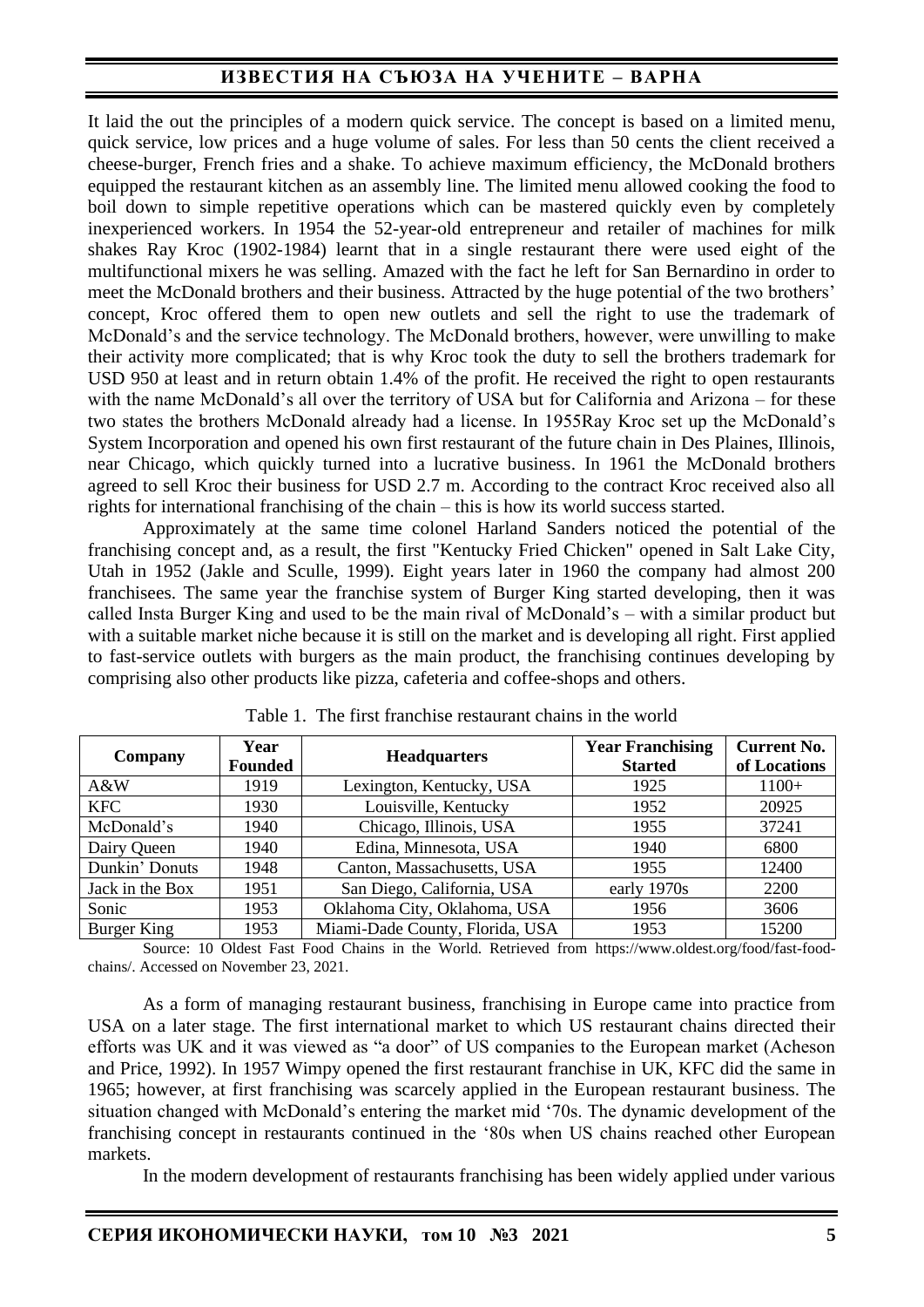It laid the out the principles of a modern quick service. The concept is based on a limited menu, quick service, low prices and a huge volume of sales. For less than 50 cents the client received a cheese-burger, French fries and a shake. To achieve maximum efficiency, the McDonald brothers equipped the restaurant kitchen as an assembly line. The limited menu allowed cooking the food to boil down to simple repetitive operations which can be mastered quickly even by completely inexperienced workers. In 1954 the 52-year-old entrepreneur and retailer of machines for milk shakes Ray Kroc (1902-1984) learnt that in a single restaurant there were used eight of the multifunctional mixers he was selling. Amazed with the fact he left for San Bernardino in order to meet the McDonald brothers and their business. Attracted by the huge potential of the two brothers' concept, Kroc offered them to open new outlets and sell the right to use the trademark of McDonald's and the service technology. The McDonald brothers, however, were unwilling to make their activity more complicated; that is why Kroc took the duty to sell the brothers trademark for USD 950 at least and in return obtain 1.4% of the profit. He received the right to open restaurants with the name McDonald's all over the territory of USA but for California and Arizona – for these two states the brothers McDonald already had a license. In 1955Ray Kroc set up the McDonald's System Incorporation and opened his own first restaurant of the future chain in Des Plaines, Illinois, near Chicago, which quickly turned into a lucrative business. In 1961 the McDonald brothers agreed to sell Kroc their business for USD 2.7 m. According to the contract Kroc received also all rights for international franchising of the chain – this is how its world success started.

Approximately at the same time colonel Harland Sanders noticed the potential of the franchising concept and, as a result, the first "Kentucky Fried Chicken" opened in Salt Lake City, Utah in 1952 (Jakle and Sculle, 1999). Eight years later in 1960 the company had almost 200 franchisees. The same year the franchise system of Burger King started developing, then it was called Insta Burger King and used to be the main rival of McDonald's – with a similar product but with a suitable market niche because it is still on the market and is developing all right. First applied to fast-service outlets with burgers as the main product, the franchising continues developing by comprising also other products like pizza, cafeteria and coffee-shops and others.

| Company         | Year<br><b>Founded</b> | <b>Headquarters</b>             | <b>Year Franchising</b><br><b>Started</b> | <b>Current No.</b><br>of Locations |
|-----------------|------------------------|---------------------------------|-------------------------------------------|------------------------------------|
| $A\&W$          | 1919                   | Lexington, Kentucky, USA        | 1925                                      | $1100+$                            |
| <b>KFC</b>      | 1930                   | Louisville, Kentucky            | 1952                                      | 20925                              |
| McDonald's      | 1940                   | Chicago, Illinois, USA          | 1955                                      | 37241                              |
| Dairy Queen     | 1940                   | Edina, Minnesota, USA           | 1940                                      | 6800                               |
| Dunkin' Donuts  | 1948                   | Canton, Massachusetts, USA      | 1955                                      | 12400                              |
| Jack in the Box | 1951                   | San Diego, California, USA      | early 1970s                               | 2200                               |
| Sonic           | 1953                   | Oklahoma City, Oklahoma, USA    | 1956                                      | 3606                               |
| Burger King     | 1953                   | Miami-Dade County, Florida, USA | 1953                                      | 15200                              |

Source: 10 Oldest Fast Food Chains in the World. Retrieved from https://www.oldest.org/food/fast-foodchains/. Accessed on November 23, 2021.

As a form of managing restaurant business, franchising in Europe came into practice from USA on a later stage. The first international market to which US restaurant chains directed their efforts was UK and it was viewed as "a door" of US companies to the European market (Acheson and Price, 1992). In 1957 Wimpy opened the first restaurant franchise in UK, KFC did the same in 1965; however, at first franchising was scarcely applied in the European restaurant business. The situation changed with McDonald's entering the market mid '70s. The dynamic development of the franchising concept in restaurants continued in the '80s when US chains reached other European markets.

In the modern development of restaurants franchising has been widely applied under various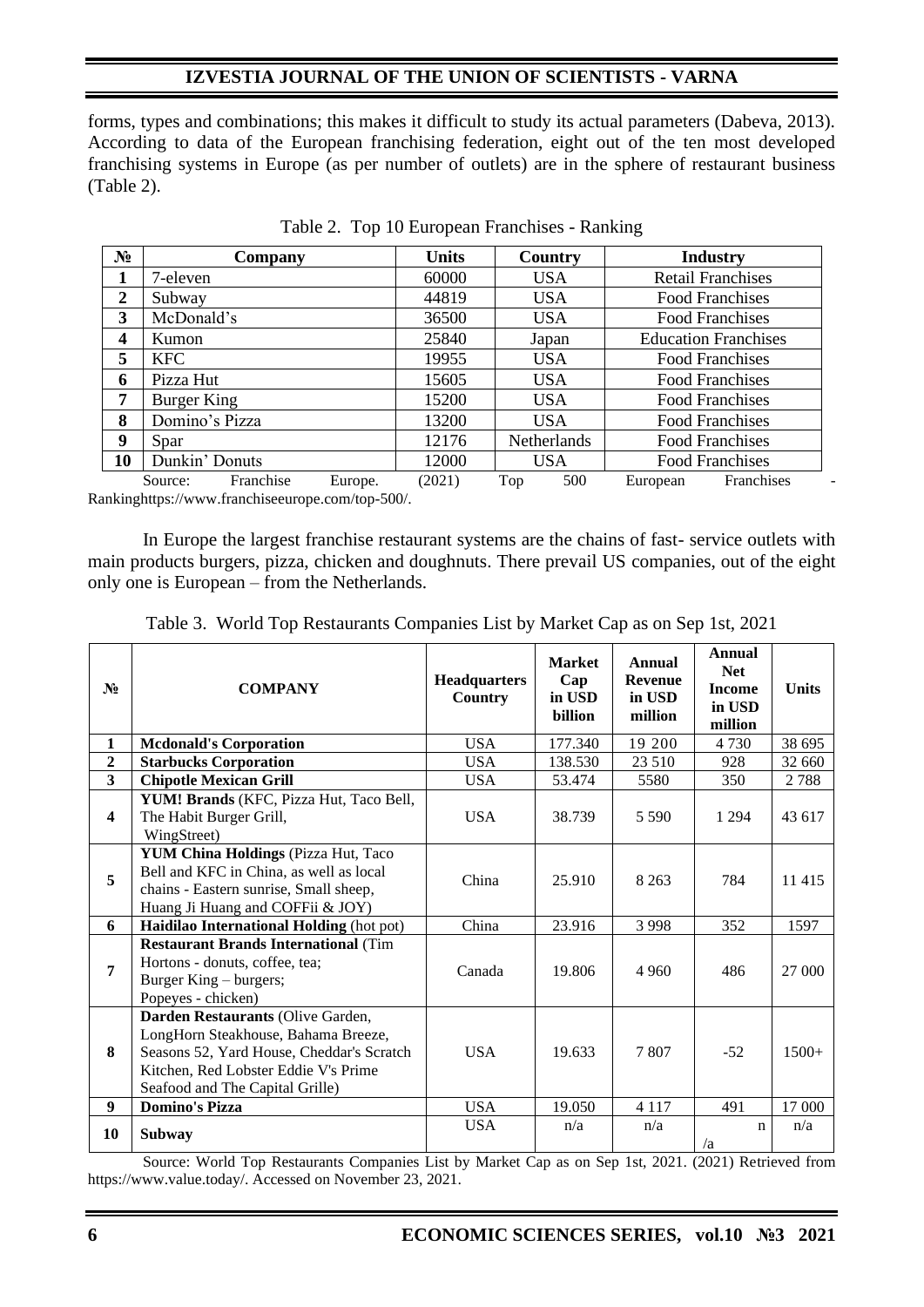forms, types and combinations; this makes it difficult to study its actual parameters (Dabeva, 2013). According to data of the European franchising federation, eight out of the ten most developed franchising systems in Europe (as per number of outlets) are in the sphere of restaurant business (Table 2).

| $N_2$                   | Company                                                  | <b>Units</b> | Country             | <b>Industry</b>             |
|-------------------------|----------------------------------------------------------|--------------|---------------------|-----------------------------|
| 1                       | 7-eleven                                                 | 60000        | <b>USA</b>          | <b>Retail Franchises</b>    |
| $\overline{2}$          | Subway                                                   | 44819        | <b>USA</b>          | <b>Food Franchises</b>      |
| 3                       | McDonald's                                               | 36500        | <b>USA</b>          | <b>Food Franchises</b>      |
| $\overline{\mathbf{4}}$ | Kumon                                                    | 25840        | Japan               | <b>Education Franchises</b> |
| 5                       | KFC                                                      | 19955        | <b>USA</b>          | <b>Food Franchises</b>      |
| 6                       | Pizza Hut                                                | 15605        | <b>USA</b>          | <b>Food Franchises</b>      |
| 7                       | Burger King                                              | 15200        | <b>USA</b>          | <b>Food Franchises</b>      |
| 8                       | Domino's Pizza                                           | 13200        | <b>USA</b>          | <b>Food Franchises</b>      |
| 9                       | Spar                                                     | 12176        | Netherlands         | <b>Food Franchises</b>      |
| 10                      | Dunkin' Donuts                                           | 12000        | <b>USA</b>          | <b>Food Franchises</b>      |
|                         | Eranchica<br>F <sub>11</sub> rona<br>$S_{\Omega\Pi}$ rea | (2021)       | 500<br>$T_{\Omega}$ | Eranchices<br>European      |

|  |  |  | Table 2. Top 10 European Franchises - Ranking |  |
|--|--|--|-----------------------------------------------|--|
|--|--|--|-----------------------------------------------|--|

Source: Franchise Europe. (2021) Top 500 European Franchises -Rankinghttps://www.franchiseeurope.com/top-500/.

In Europe the largest franchise restaurant systems are the chains of fast- service outlets with main products burgers, pizza, chicken and doughnuts. There prevail US companies, out of the eight only one is European – from the Netherlands.

| $N_2$                   | <b>COMPANY</b>                                                                                                                                                                                   | <b>Headquarters</b><br>Country | <b>Market</b><br>Cap<br>in USD<br><b>billion</b> | Annual<br><b>Revenue</b><br>in USD<br>million | Annual<br><b>Net</b><br><b>Income</b><br>in USD<br>million | <b>Units</b> |
|-------------------------|--------------------------------------------------------------------------------------------------------------------------------------------------------------------------------------------------|--------------------------------|--------------------------------------------------|-----------------------------------------------|------------------------------------------------------------|--------------|
| $\mathbf{1}$            | <b>Mcdonald's Corporation</b>                                                                                                                                                                    | <b>USA</b>                     | 177.340                                          | 19 200                                        | 4730                                                       | 38 695       |
| $\overline{2}$          | <b>Starbucks Corporation</b>                                                                                                                                                                     | <b>USA</b>                     | 138.530                                          | 23 510                                        | 928                                                        | 32 660       |
| $\overline{\mathbf{3}}$ | <b>Chipotle Mexican Grill</b>                                                                                                                                                                    | <b>USA</b>                     | 53.474                                           | 5580                                          | 350                                                        | 2788         |
| $\overline{\mathbf{4}}$ | YUM! Brands (KFC, Pizza Hut, Taco Bell,<br>The Habit Burger Grill,<br>WingStreet)                                                                                                                | <b>USA</b>                     | 38.739                                           | 5 5 9 0                                       | 1 2 9 4                                                    | 43 617       |
| 5                       | <b>YUM China Holdings (Pizza Hut, Taco</b><br>Bell and KFC in China, as well as local<br>chains - Eastern sunrise, Small sheep,<br>Huang Ji Huang and COFFii & JOY)                              | China                          | 25.910                                           | 8 2 6 3                                       | 784                                                        | 11 4 15      |
| 6                       | Haidilao International Holding (hot pot)                                                                                                                                                         | China                          | 23.916                                           | 3 9 9 8                                       | 352                                                        | 1597         |
| 7                       | <b>Restaurant Brands International (Tim</b><br>Hortons - donuts, coffee, tea;<br>Burger King – burgers;<br>Popeyes - chicken)                                                                    | Canada                         | 19.806                                           | 4 9 6 0                                       | 486                                                        | 27 000       |
| 8                       | Darden Restaurants (Olive Garden,<br>LongHorn Steakhouse, Bahama Breeze,<br>Seasons 52, Yard House, Cheddar's Scratch<br>Kitchen, Red Lobster Eddie V's Prime<br>Seafood and The Capital Grille) | <b>USA</b>                     | 19.633                                           | 7807                                          | $-52$                                                      | $1500+$      |
| 9                       | <b>Domino's Pizza</b>                                                                                                                                                                            | <b>USA</b>                     | 19.050                                           | 4 1 1 7                                       | 491                                                        | 17 000       |
| 10                      | <b>Subway</b>                                                                                                                                                                                    | <b>USA</b>                     | n/a                                              | n/a                                           | $\mathbf n$<br>/a                                          | n/a          |

Table 3. World Top Restaurants Companies List by Market Cap as on Sep 1st, 2021

Source: World Top Restaurants Companies List by Market Cap as on Sep 1st, 2021. (2021) Retrieved from https://www.value.today/. Accessed on November 23, 2021.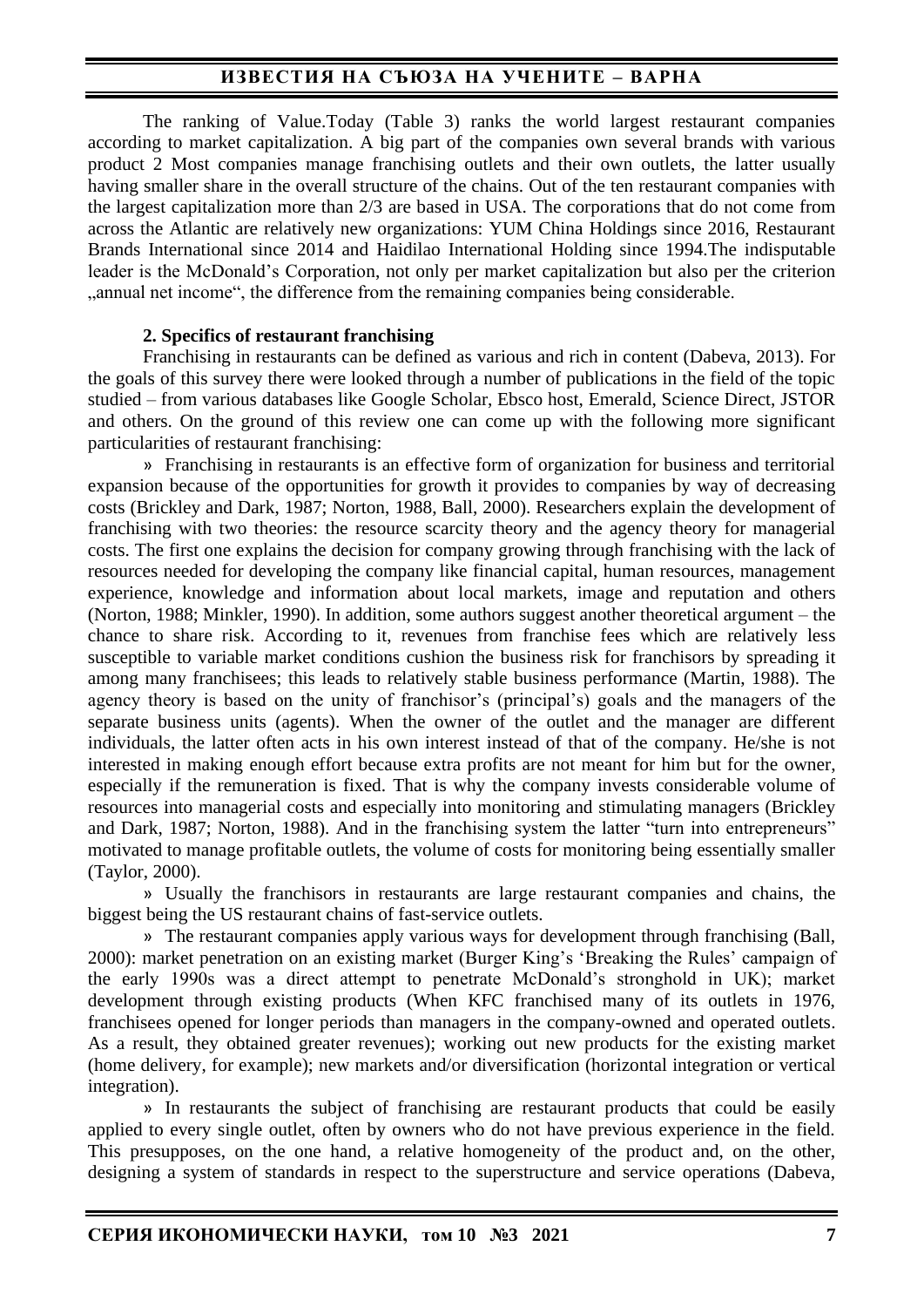The ranking of Value.Today (Table 3) ranks the world largest restaurant companies according to market capitalization. A big part of the companies own several brands with various product 2 Most companies manage franchising outlets and their own outlets, the latter usually having smaller share in the overall structure of the chains. Out of the ten restaurant companies with the largest capitalization more than 2/3 are based in USA. The corporations that do not come from across the Atlantic are relatively new organizations: YUM China Holdings since 2016, Restaurant Brands International since 2014 and Haidilao International Holding since 1994.The indisputable leader is the McDonald's Corporation, not only per market capitalization but also per the criterion "annual net income", the difference from the remaining companies being considerable.

### **2. Specifics of restaurant franchising**

Franchising in restaurants can be defined as various and rich in content (Dabeva, 2013). For the goals of this survey there were looked through a number of publications in the field of the topic studied – from various databases like Google Scholar, Ebsco host, Emerald, Science Direct, JSTOR and others. On the ground of this review one can come up with the following more significant particularities of restaurant franchising:

» Franchising in restaurants is an effective form of organization for business and territorial expansion because of the opportunities for growth it provides to companies by way of decreasing costs (Brickley and Dark, 1987; Norton, 1988, Ball, 2000). Researchers explain the development of franchising with two theories: the resource scarcity theory and the agency theory for managerial costs. The first one explains the decision for company growing through franchising with the lack of resources needed for developing the company like financial capital, human resources, management experience, knowledge and information about local markets, image and reputation and others (Norton, 1988; Minkler, 1990). In addition, some authors suggest another theoretical argument – the chance to share risk. According to it, revenues from franchise fees which are relatively less susceptible to variable market conditions cushion the business risk for franchisors by spreading it among many franchisees; this leads to relatively stable business performance (Martin, 1988). The agency theory is based on the unity of franchisor's (principal's) goals and the managers of the separate business units (agents). When the owner of the outlet and the manager are different individuals, the latter often acts in his own interest instead of that of the company. He/she is not interested in making enough effort because extra profits are not meant for him but for the owner, especially if the remuneration is fixed. That is why the company invests considerable volume of resources into managerial costs and especially into monitoring and stimulating managers (Brickley and Dark, 1987; Norton, 1988). And in the franchising system the latter "turn into entrepreneurs" motivated to manage profitable outlets, the volume of costs for monitoring being essentially smaller (Taylor, 2000).

» Usually the franchisors in restaurants are large restaurant companies and chains, the biggest being the US restaurant chains of fast-service outlets.

» The restaurant companies apply various ways for development through franchising (Ball, 2000): market penetration on an existing market (Burger King's 'Breaking the Rules' campaign of the early 1990s was a direct attempt to penetrate McDonald's stronghold in UK); market development through existing products (When KFC franchised many of its outlets in 1976, franchisees opened for longer periods than managers in the company-owned and operated outlets. As a result, they obtained greater revenues); working out new products for the existing market (home delivery, for example); new markets and/or diversification (horizontal integration or vertical integration).

» In restaurants the subject of franchising are restaurant products that could be easily applied to every single outlet, often by owners who do not have previous experience in the field. This presupposes, on the one hand, a relative homogeneity of the product and, on the other, designing a system of standards in respect to the superstructure and service operations (Dabeva,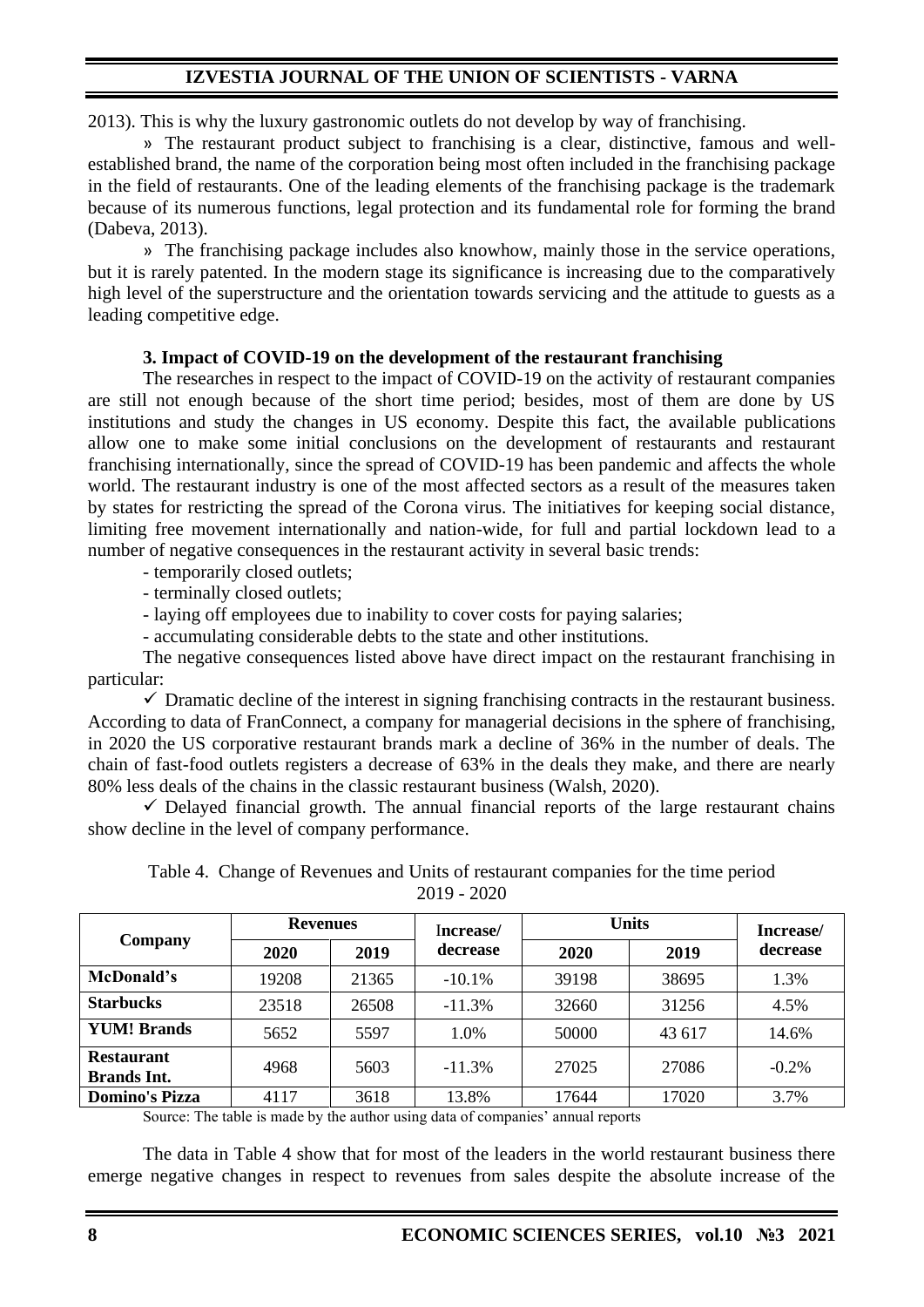2013). This is why the luxury gastronomic outlets do not develop by way of franchising.

» The restaurant product subject to franchising is a clear, distinctive, famous and wellestablished brand, the name of the corporation being most often included in the franchising package in the field of restaurants. One of the leading elements of the franchising package is the trademark because of its numerous functions, legal protection and its fundamental role for forming the brand (Dabeva, 2013).

» The franchising package includes also knowhow, mainly those in the service operations, but it is rarely patented. In the modern stage its significance is increasing due to the comparatively high level of the superstructure and the orientation towards servicing and the attitude to guests as a leading competitive edge.

### **3. Impact of COVID-19 on the development of the restaurant franchising**

The researches in respect to the impact of COVID-19 on the activity of restaurant companies are still not enough because of the short time period; besides, most of them are done by US institutions and study the changes in US economy. Despite this fact, the available publications allow one to make some initial conclusions on the development of restaurants and restaurant franchising internationally, since the spread of COVID-19 has been pandemic and affects the whole world. The restaurant industry is one of the most affected sectors as a result of the measures taken by states for restricting the spread of the Corona virus. The initiatives for keeping social distance, limiting free movement internationally and nation-wide, for full and partial lockdown lead to a number of negative consequences in the restaurant activity in several basic trends:

- temporarily closed outlets;

- terminally closed outlets;

- laying off employees due to inability to cover costs for paying salaries;

- accumulating considerable debts to the state and other institutions.

The negative consequences listed above have direct impact on the restaurant franchising in particular:

 $\checkmark$  Dramatic decline of the interest in signing franchising contracts in the restaurant business. According to data of FranConnect, a company for managerial decisions in the sphere of franchising, in 2020 the US corporative restaurant brands mark a decline of 36% in the number of deals. The chain of fast-food outlets registers a decrease of 63% in the deals they make, and there are nearly 80% less deals of the chains in the classic restaurant business (Walsh, 2020).

 $\checkmark$  Delayed financial growth. The annual financial reports of the large restaurant chains show decline in the level of company performance.

|                    |                 |         | $2019 - 2020$ |              |             |                      |
|--------------------|-----------------|---------|---------------|--------------|-------------|----------------------|
| Company            | <b>Revenues</b> |         | Increase/     | <b>Units</b> |             | Increase/            |
|                    | 2020            | 2019    | decrease      | 2020         | 2019        | decrease             |
| McDonald's         | 19208           | 21365   | $-10.1\%$     | 39198        | 38695       | 1.3%                 |
| <b>Starbucks</b>   | 23518           | 26508   | $-11.3%$      | 32660        | 31256       | 4.5%                 |
| <b>YUM! Brands</b> | 5652            | 5597    | 1.0%          | 50000        | 43 617      | 14.6%                |
| <b>Restaurant</b>  | $\sim$ $\sim$   | - - - - | .             | -----        | $- - - - -$ | $\sim$ $\sim$ $\sim$ |

Table 4. Change of Revenues and Units of restaurant companies for the time period  $2010 - 2020$ 

Source: The table is made by the author using data of companies' annual reports

The data in Table 4 show that for most of the leaders in the world restaurant business there emerge negative changes in respect to revenues from sales despite the absolute increase of the

**Brands Int.**  $\begin{vmatrix} 4968 & 5603 & -11.3\% & 27025 & 27086 \end{vmatrix}$  -0.2% **Domino's Pizza** 4117 3618 13.8% 17644 17020 3.7%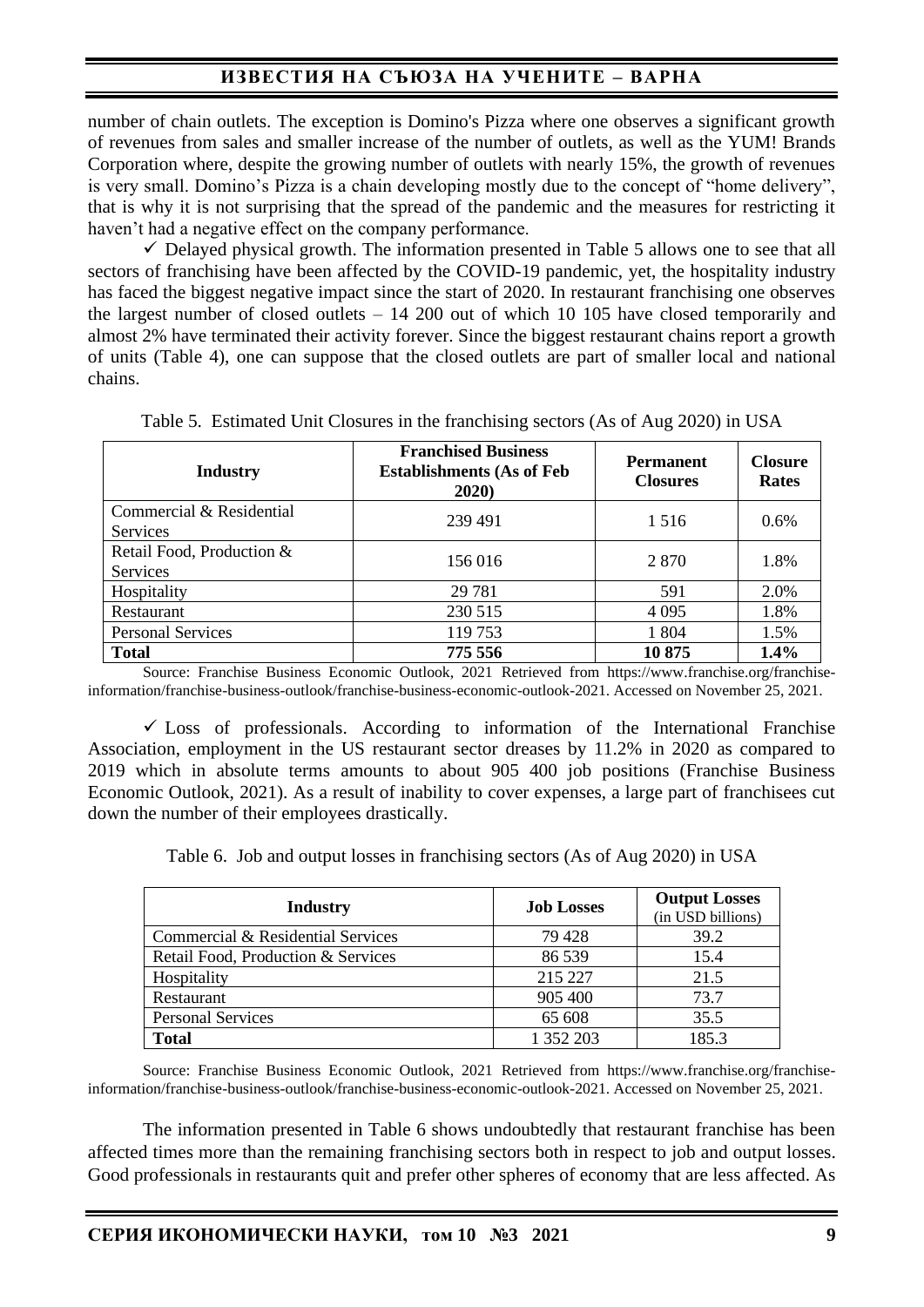number of chain outlets. The exception is Domino's Pizza where one observes a significant growth of revenues from sales and smaller increase of the number of outlets, as well as the YUM! Brands Corporation where, despite the growing number of outlets with nearly 15%, the growth of revenues is very small. Domino's Pizza is a chain developing mostly due to the concept of "home delivery", that is why it is not surprising that the spread of the pandemic and the measures for restricting it haven't had a negative effect on the company performance.

 $\checkmark$  Delayed physical growth. The information presented in Table 5 allows one to see that all sectors of franchising have been affected by the COVID-19 pandemic, yet, the hospitality industry has faced the biggest negative impact since the start of 2020. In restaurant franchising one observes the largest number of closed outlets – 14 200 out of which 10 105 have closed temporarily and almost 2% have terminated their activity forever. Since the biggest restaurant chains report a growth of units (Table 4), one can suppose that the closed outlets are part of smaller local and national chains.

| Industry                                    | <b>Franchised Business</b><br><b>Establishments (As of Feb</b><br>2020) | <b>Permanent</b><br><b>Closures</b> | <b>Closure</b><br><b>Rates</b> |
|---------------------------------------------|-------------------------------------------------------------------------|-------------------------------------|--------------------------------|
| Commercial & Residential<br><b>Services</b> | 239 491                                                                 | 1.516                               | 0.6%                           |
| Retail Food, Production &<br>Services       | 156 016                                                                 | 2870                                | 1.8%                           |
| Hospitality                                 | 29 7 81                                                                 | 591                                 | 2.0%                           |
| Restaurant                                  | 230 515                                                                 | 4 0 9 5                             | 1.8%                           |
| <b>Personal Services</b>                    | 119753                                                                  | 1 804                               | 1.5%                           |
| <b>Total</b>                                | 775 556                                                                 | 10875                               | 1.4%                           |

Table 5. Estimated Unit Closures in the franchising sectors (As of Aug 2020) in USA

Source: Franchise Business Economic Outlook, 2021 Retrieved from https://www.franchise.org/franchiseinformation/franchise-business-outlook/franchise-business-economic-outlook-2021. Accessed on November 25, 2021.

 $\checkmark$  Loss of professionals. According to information of the International Franchise Association, employment in the US restaurant sector dreases by 11.2% in 2020 as compared to 2019 which in absolute terms amounts to about 905 400 job positions (Franchise Business Economic Outlook, 2021). As a result of inability to cover expenses, a large part of franchisees cut down the number of their employees drastically.

Table 6. Job and output losses in franchising sectors (As of Aug 2020) in USA

| <b>Industry</b>                    | <b>Job Losses</b> | <b>Output Losses</b><br>(in USD billions) |
|------------------------------------|-------------------|-------------------------------------------|
| Commercial & Residential Services  | 79 428            | 39.2                                      |
| Retail Food, Production & Services | 86 539            | 15.4                                      |
| Hospitality                        | 215 227           | 21.5                                      |
| Restaurant                         | 905 400           | 73.7                                      |
| <b>Personal Services</b>           | 65 608            | 35.5                                      |
| <b>Total</b>                       | 1 352 203         | 185.3                                     |

Source: Franchise Business Economic Outlook, 2021 Retrieved from https://www.franchise.org/franchiseinformation/franchise-business-outlook/franchise-business-economic-outlook-2021. Accessed on November 25, 2021.

The information presented in Table 6 shows undoubtedly that restaurant franchise has been affected times more than the remaining franchising sectors both in respect to job and output losses. Good professionals in restaurants quit and prefer other spheres of economy that are less affected. As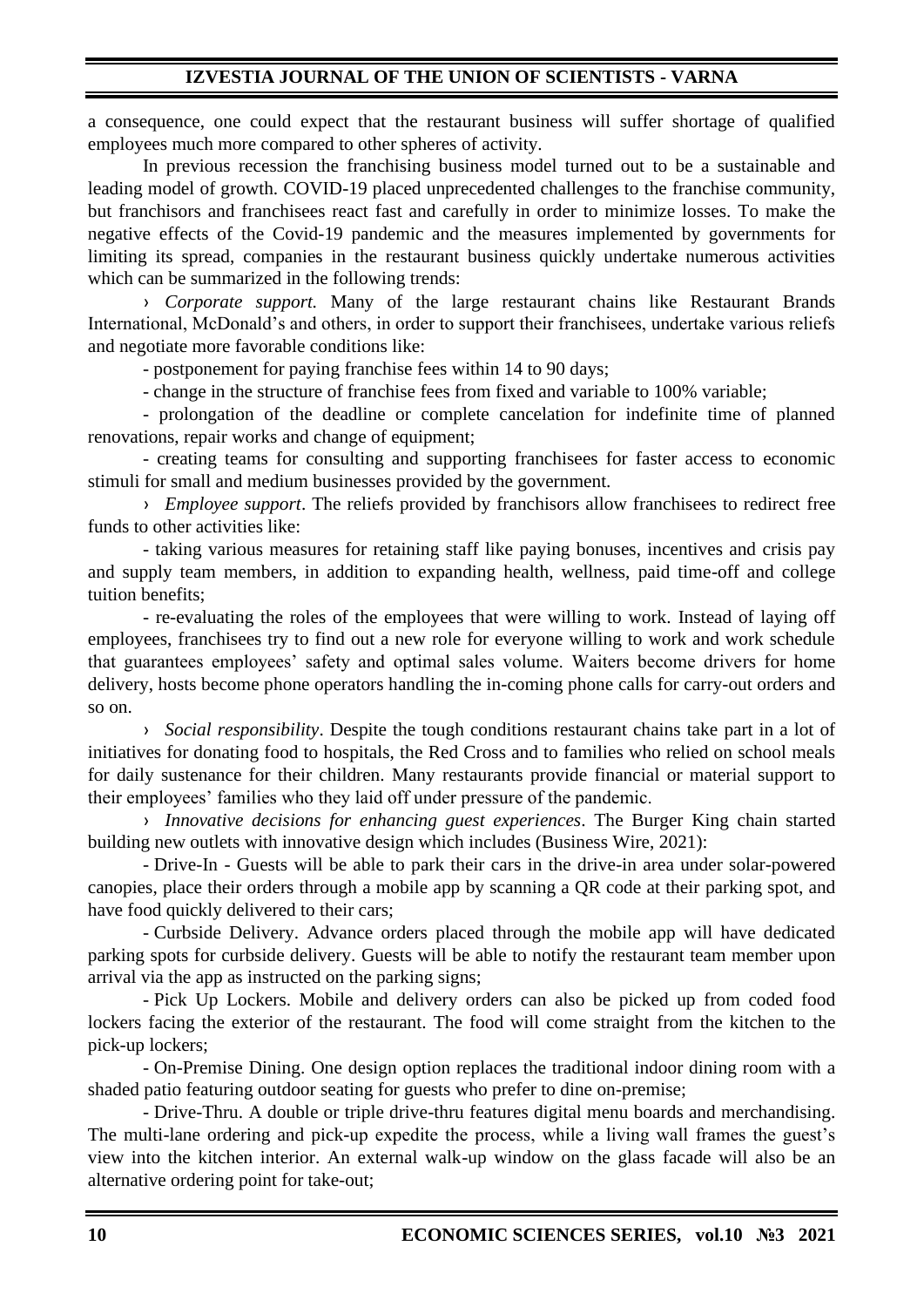a consequence, one could expect that the restaurant business will suffer shortage of qualified employees much more compared to other spheres of activity.

In previous recession the franchising business model turned out to be a sustainable and leading model of growth. COVID-19 placed unprecedented challenges to the franchise community, but franchisors and franchisees react fast and carefully in order to minimize losses. To make the negative effects of the Covid-19 pandemic and the measures implemented by governments for limiting its spread, companies in the restaurant business quickly undertake numerous activities which can be summarized in the following trends:

› *Corporate support.* Many of the large restaurant chains like Restaurant Brands International, McDonald's and others, in order to support their franchisees, undertake various reliefs and negotiate more favorable conditions like:

- postponement for paying franchise fees within 14 to 90 days;

- change in the structure of franchise fees from fixed and variable to 100% variable;

- prolongation of the deadline or complete cancelation for indefinite time of planned renovations, repair works and change of equipment;

- creating teams for consulting and supporting franchisees for faster access to economic stimuli for small and medium businesses provided by the government.

› *Employee support*. The reliefs provided by franchisors allow franchisees to redirect free funds to other activities like:

- taking various measures for retaining staff like paying bonuses, incentives and crisis pay and supply team members, in addition to expanding health, wellness, paid time-off and college tuition benefits;

- re-evaluating the roles of the employees that were willing to work. Instead of laying off employees, franchisees try to find out a new role for everyone willing to work and work schedule that guarantees employees' safety and optimal sales volume. Waiters become drivers for home delivery, hosts become phone operators handling the in-coming phone calls for carry-out orders and so on.

› *Social responsibility*. Despite the tough conditions restaurant chains take part in a lot of initiatives for donating food to hospitals, the Red Cross and to families who relied on school meals for daily sustenance for their children. Many restaurants provide financial or material support to their employees' families who they laid off under pressure of the pandemic.

› *Innovative decisions for enhancing guest experiences*. The Burger King chain started building new outlets with innovative design which includes (Business Wire, 2021):

- Drive-In - Guests will be able to park their cars in the drive-in area under solar-powered canopies, place their orders through a mobile app by scanning a QR code at their parking spot, and have food quickly delivered to their cars;

- Curbside Delivery. Advance orders placed through the mobile app will have dedicated parking spots for curbside delivery. Guests will be able to notify the restaurant team member upon arrival via the app as instructed on the parking signs;

- Pick Up Lockers. Mobile and delivery orders can also be picked up from coded food lockers facing the exterior of the restaurant. The food will come straight from the kitchen to the pick-up lockers;

- On-Premise Dining. One design option replaces the traditional indoor dining room with a shaded patio featuring outdoor seating for guests who prefer to dine on-premise;

- Drive-Thru. A double or triple drive-thru features digital menu boards and merchandising. The multi-lane ordering and pick-up expedite the process, while a living wall frames the guest's view into the kitchen interior. An external walk-up window on the glass facade will also be an alternative ordering point for take-out;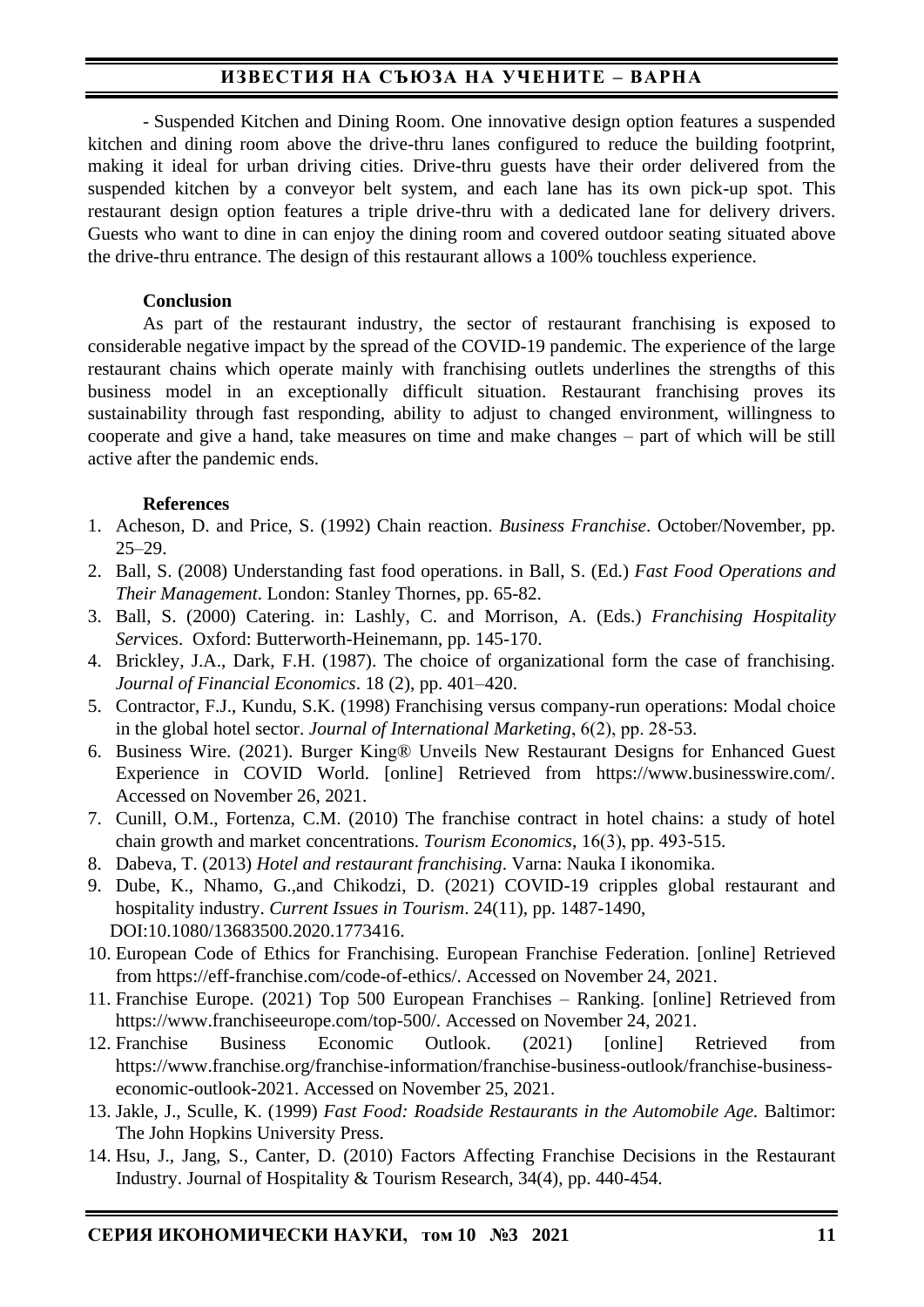- Suspended Kitchen and Dining Room. One innovative design option features a suspended kitchen and dining room above the drive-thru lanes configured to reduce the building footprint, making it ideal for urban driving cities. Drive-thru guests have their order delivered from the suspended kitchen by a conveyor belt system, and each lane has its own pick-up spot. This restaurant design option features a triple drive-thru with a dedicated lane for delivery drivers. Guests who want to dine in can enjoy the dining room and covered outdoor seating situated above the drive-thru entrance. The design of this restaurant allows a 100% touchless experience.

## **Conclusion**

As part of the restaurant industry, the sector of restaurant franchising is exposed to considerable negative impact by the spread of the COVID-19 pandemic. The experience of the large restaurant chains which operate mainly with franchising outlets underlines the strengths of this business model in an exceptionally difficult situation. Restaurant franchising proves its sustainability through fast responding, ability to adjust to changed environment, willingness to cooperate and give a hand, take measures on time and make changes – part of which will be still active after the pandemic ends.

## **References**

- 1. Acheson, D. and Price, S. (1992) Chain reaction. *Business Franchise*. October/November, pp.  $25 - 29$ .
- 2. Ball, S. (2008) Understanding fast food operations. in Ball, S. (Ed.) *Fast Food Operations and Their Management*. London: Stanley Thornes, pp. 65-82.
- 3. Ball, S. (2000) Catering. in: Lashly, C. and Morrison, A. (Eds.) *Franchising Hospitality Ser*vices. Oxford: Butterworth-Heinemann, pp. 145-170.
- 4. Brickley, J.A., Dark, F.H. (1987). The choice of organizational form the case of franchising. *Journal of Financial Economics*. 18 (2), pp. 401–420.
- 5. Contractor, F.J., Kundu, S.K. (1998) Franchising versus company-run operations: Modal choice in the global hotel sector. *Journal of International Marketing*, 6(2), рp. 28-53.
- 6. Business Wire. (2021). Burger King® Unveils New Restaurant Designs for Enhanced Guest Experience in COVID World. [online] Retrieved from https://www.businesswire.com/. Accessed on November 26, 2021.
- 7. Cunill, O.M., Fortenza, C.M. (2010) The franchise contract in hotel chains: a study of hotel chain growth and market concentrations. *Tourism Economics*, 16(3), рp. 493-515.
- 8. Dabeva, T. (2013) *Hotel and restaurant franchising*. Varna: Nauka I ikonomika.
- 9. Dube, K., Nhamo, G.,and Chikodzi, D. (2021) COVID-19 cripples global restaurant and hospitality industry. *Current Issues in Tourism*. 24(11), pp. 1487-1490, DOI:10.1080/13683500.2020.1773416.
- 10. European Code of Ethics for Franchising. European Franchise Federation. [online] Retrieved from https://eff-franchise.com/code-of-ethics/. Accessed on November 24, 2021.
- 11. Franchise Europe. (2021) Top 500 European Franchises Ranking. [online] Retrieved from https://www.franchiseeurope.com/top-500/. Accessed on November 24, 2021.
- 12. Franchise Business Economic Outlook. (2021) [online] Retrieved from https://www.franchise.org/franchise-information/franchise-business-outlook/franchise-businesseconomic-outlook-2021. Accessed on November 25, 2021.
- 13. Jakle, J., Sculle, K. (1999) *Fast Food: Roadside Restaurants in the Automobile Age.* Baltimor: The John Hopkins University Press.
- 14. Hsu, J., Jang, S., Canter, D. (2010) Factors Affecting Franchise Decisions in the Restaurant Industry. Journal of Hospitality & Tourism Research, 34(4), pp. 440-454.